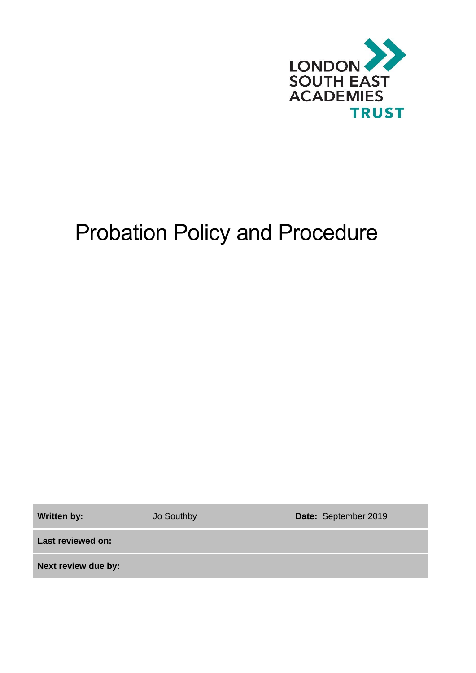

# Probation Policy and Procedure

Written by: **Jo Southby <b>Date:** September 2019

**Last reviewed on:**

**Next review due by:**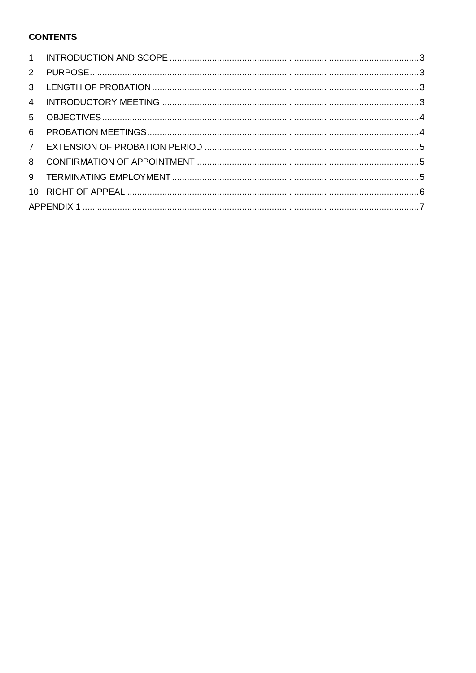# **CONTENTS**

| $2^{\circ}$    |  |  |  |  |
|----------------|--|--|--|--|
| $\mathbf{3}$   |  |  |  |  |
| $\overline{4}$ |  |  |  |  |
| 5 <sup>5</sup> |  |  |  |  |
| 6              |  |  |  |  |
| $7^{\circ}$    |  |  |  |  |
| 8              |  |  |  |  |
| 9              |  |  |  |  |
|                |  |  |  |  |
|                |  |  |  |  |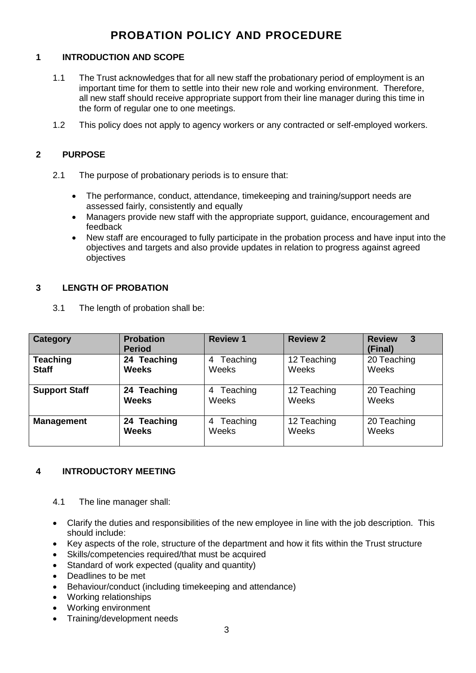# **PROBATION POLICY AND PROCEDURE**

# <span id="page-2-0"></span>**1 INTRODUCTION AND SCOPE**

- 1.1 The Trust acknowledges that for all new staff the probationary period of employment is an important time for them to settle into their new role and working environment. Therefore, all new staff should receive appropriate support from their line manager during this time in the form of regular one to one meetings.
- 1.2 This policy does not apply to agency workers or any contracted or self-employed workers.

# <span id="page-2-1"></span>**2 PURPOSE**

- 2.1 The purpose of probationary periods is to ensure that:
	- The performance, conduct, attendance, timekeeping and training/support needs are assessed fairly, consistently and equally
	- Managers provide new staff with the appropriate support, guidance, encouragement and feedback
	- New staff are encouraged to fully participate in the probation process and have input into the objectives and targets and also provide updates in relation to progress against agreed objectives

#### <span id="page-2-2"></span>**3 LENGTH OF PROBATION**

3.1 The length of probation shall be:

| <b>Category</b>                 | <b>Probation</b><br><b>Period</b> | <b>Review 1</b>        | <b>Review 2</b>      | <b>Review</b><br>3<br>(Final) |
|---------------------------------|-----------------------------------|------------------------|----------------------|-------------------------------|
| <b>Teaching</b><br><b>Staff</b> | 24 Teaching<br><b>Weeks</b>       | Teaching<br>4<br>Weeks | 12 Teaching<br>Weeks | 20 Teaching<br>Weeks          |
| <b>Support Staff</b>            | 24 Teaching<br><b>Weeks</b>       | Teaching<br>4<br>Weeks | 12 Teaching<br>Weeks | 20 Teaching<br>Weeks          |
| <b>Management</b>               | 24 Teaching<br><b>Weeks</b>       | Teaching<br>4<br>Weeks | 12 Teaching<br>Weeks | 20 Teaching<br>Weeks          |

# <span id="page-2-3"></span>**4 INTRODUCTORY MEETING**

- 4.1 The line manager shall:
- Clarify the duties and responsibilities of the new employee in line with the job description. This should include:
- Key aspects of the role, structure of the department and how it fits within the Trust structure
- Skills/competencies required/that must be acquired
- Standard of work expected (quality and quantity)
- Deadlines to be met
- Behaviour/conduct (including timekeeping and attendance)
- Working relationships
- Working environment
- Training/development needs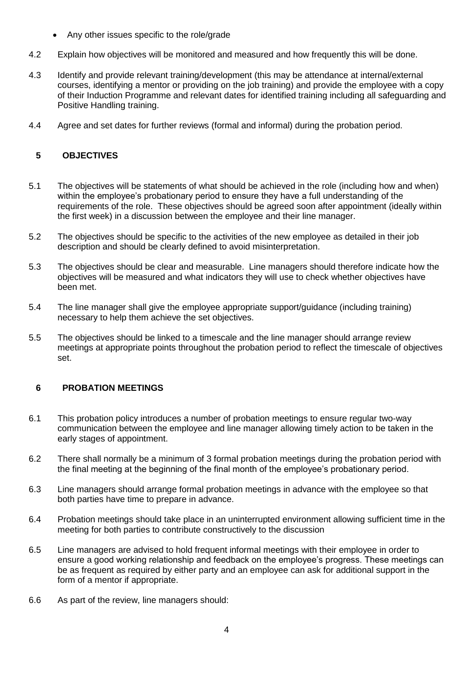- Any other issues specific to the role/grade
- 4.2 Explain how objectives will be monitored and measured and how frequently this will be done.
- 4.3 Identify and provide relevant training/development (this may be attendance at internal/external courses, identifying a mentor or providing on the job training) and provide the employee with a copy of their Induction Programme and relevant dates for identified training including all safeguarding and Positive Handling training.
- 4.4 Agree and set dates for further reviews (formal and informal) during the probation period.

# <span id="page-3-0"></span>**5 OBJECTIVES**

- 5.1 The objectives will be statements of what should be achieved in the role (including how and when) within the employee's probationary period to ensure they have a full understanding of the requirements of the role. These objectives should be agreed soon after appointment (ideally within the first week) in a discussion between the employee and their line manager.
- 5.2 The objectives should be specific to the activities of the new employee as detailed in their job description and should be clearly defined to avoid misinterpretation.
- 5.3 The objectives should be clear and measurable. Line managers should therefore indicate how the objectives will be measured and what indicators they will use to check whether objectives have been met.
- 5.4 The line manager shall give the employee appropriate support/guidance (including training) necessary to help them achieve the set objectives.
- 5.5 The objectives should be linked to a timescale and the line manager should arrange review meetings at appropriate points throughout the probation period to reflect the timescale of objectives set.

# <span id="page-3-1"></span>**6 PROBATION MEETINGS**

- 6.1 This probation policy introduces a number of probation meetings to ensure regular two-way communication between the employee and line manager allowing timely action to be taken in the early stages of appointment.
- 6.2 There shall normally be a minimum of 3 formal probation meetings during the probation period with the final meeting at the beginning of the final month of the employee's probationary period.
- 6.3 Line managers should arrange formal probation meetings in advance with the employee so that both parties have time to prepare in advance.
- 6.4 Probation meetings should take place in an uninterrupted environment allowing sufficient time in the meeting for both parties to contribute constructively to the discussion
- 6.5 Line managers are advised to hold frequent informal meetings with their employee in order to ensure a good working relationship and feedback on the employee's progress. These meetings can be as frequent as required by either party and an employee can ask for additional support in the form of a mentor if appropriate.
- 6.6 As part of the review, line managers should: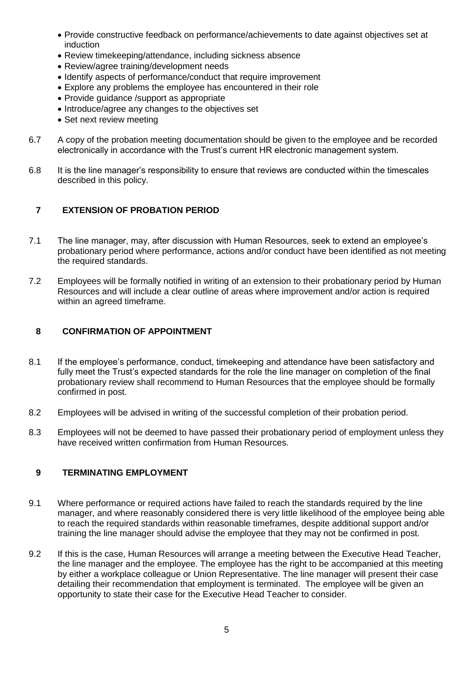- Provide constructive feedback on performance/achievements to date against objectives set at induction
- Review timekeeping/attendance, including sickness absence
- Review/agree training/development needs
- Identify aspects of performance/conduct that require improvement
- Explore any problems the employee has encountered in their role
- Provide guidance /support as appropriate
- Introduce/agree any changes to the objectives set
- Set next review meeting
- 6.7 A copy of the probation meeting documentation should be given to the employee and be recorded electronically in accordance with the Trust's current HR electronic management system.
- 6.8 It is the line manager's responsibility to ensure that reviews are conducted within the timescales described in this policy.

# <span id="page-4-0"></span>**7 EXTENSION OF PROBATION PERIOD**

- 7.1 The line manager, may, after discussion with Human Resources, seek to extend an employee's probationary period where performance, actions and/or conduct have been identified as not meeting the required standards.
- 7.2 Employees will be formally notified in writing of an extension to their probationary period by Human Resources and will include a clear outline of areas where improvement and/or action is required within an agreed timeframe.

### <span id="page-4-1"></span>**8 CONFIRMATION OF APPOINTMENT**

- 8.1 If the employee's performance, conduct, timekeeping and attendance have been satisfactory and fully meet the Trust's expected standards for the role the line manager on completion of the final probationary review shall recommend to Human Resources that the employee should be formally confirmed in post.
- 8.2 Employees will be advised in writing of the successful completion of their probation period.
- 8.3 Employees will not be deemed to have passed their probationary period of employment unless they have received written confirmation from Human Resources.

#### <span id="page-4-2"></span>**9 TERMINATING EMPLOYMENT**

- 9.1 Where performance or required actions have failed to reach the standards required by the line manager, and where reasonably considered there is very little likelihood of the employee being able to reach the required standards within reasonable timeframes, despite additional support and/or training the line manager should advise the employee that they may not be confirmed in post.
- 9.2 If this is the case, Human Resources will arrange a meeting between the Executive Head Teacher, the line manager and the employee. The employee has the right to be accompanied at this meeting by either a workplace colleague or Union Representative. The line manager will present their case detailing their recommendation that employment is terminated. The employee will be given an opportunity to state their case for the Executive Head Teacher to consider.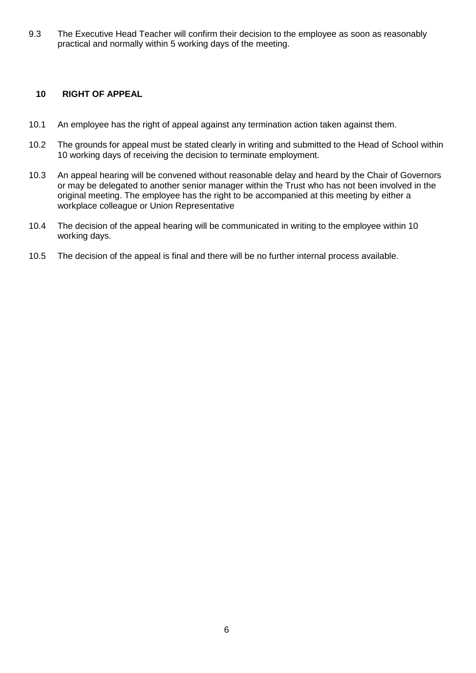9.3 The Executive Head Teacher will confirm their decision to the employee as soon as reasonably practical and normally within 5 working days of the meeting.

# <span id="page-5-0"></span>**10 RIGHT OF APPEAL**

- 10.1 An employee has the right of appeal against any termination action taken against them.
- 10.2 The grounds for appeal must be stated clearly in writing and submitted to the Head of School within 10 working days of receiving the decision to terminate employment.
- 10.3 An appeal hearing will be convened without reasonable delay and heard by the Chair of Governors or may be delegated to another senior manager within the Trust who has not been involved in the original meeting. The employee has the right to be accompanied at this meeting by either a workplace colleague or Union Representative
- 10.4 The decision of the appeal hearing will be communicated in writing to the employee within 10 working days.
- 10.5 The decision of the appeal is final and there will be no further internal process available.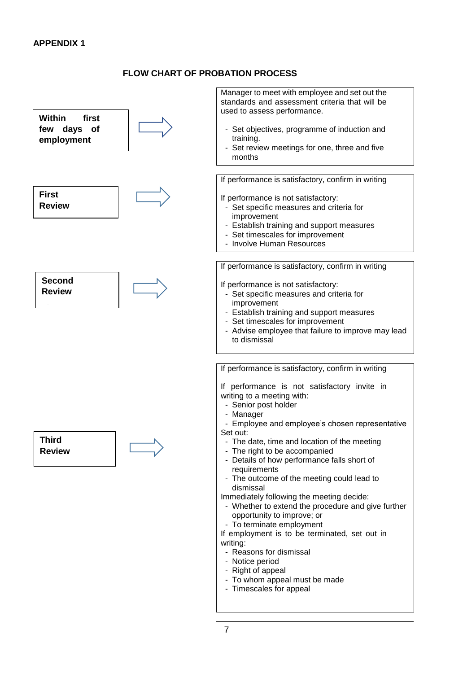### **FLOW CHART OF PROBATION PROCESS**

<span id="page-6-0"></span>